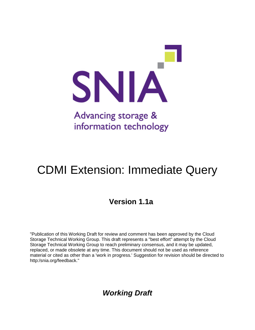

# CDMI Extension: Immediate Query

## **Version 1.1a**

"Publication of this Working Draft for review and comment has been approved by the Cloud Storage Technical Working Group. This draft represents a "best effort" attempt by the Cloud Storage Technical Working Group to reach preliminary consensus, and it may be updated, replaced, or made obsolete at any time. This document should not be used as reference material or cited as other than a 'work in progress.' Suggestion for revision should be directed to http:/snia.org/feedback."

*Working Draft*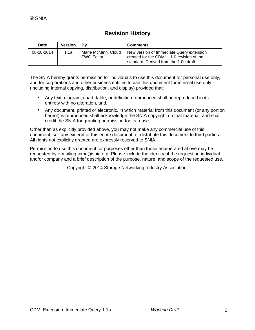### **Revision History**

| <b>Date</b> | <b>Version</b> | Bv                                       | <b>Comments</b>                                                                                                                  |
|-------------|----------------|------------------------------------------|----------------------------------------------------------------------------------------------------------------------------------|
| 08-28-2014  | 1.1a           | Marie McMinn, Cloud<br><b>TWG Editor</b> | New version of Immediate Query extension<br>created for the CDMI 1.1.0 revision of the<br>standard. Derived from the 1.0d draft. |

The SNIA hereby grants permission for individuals to use this document for personal use only, and for corporations and other business entities to use this document for internal use only (including internal copying, distribution, and display) provided that:

- Any text, diagram, chart, table, or definition reproduced shall be reproduced in its entirety with no alteration, and,
- Any document, printed or electronic, in which material from this document (or any portion hereof) is reproduced shall acknowledge the SNIA copyright on that material, and shall credit the SNIA for granting permission for its reuse.

Other than as explicitly provided above, you may not make any commercial use of this document, sell any excerpt or this entire document, or distribute this document to third parties. All rights not explicitly granted are expressly reserved to SNIA.

Permission to use this document for purposes other than those enumerated above may be requested by e-mailing tcmd@snia.org. Please include the identity of the requesting individual and/or company and a brief description of the purpose, nature, and scope of the requested use.

Copyright © 2014 Storage Networking Industry Association.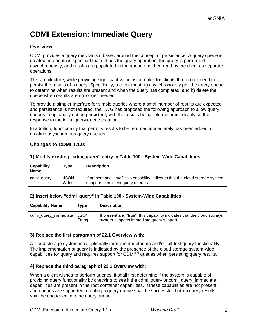## **CDMI Extension: Immediate Query**

#### **Overview**

CDMI provides a query mechanism based around the concept of persistance. A query queue is created, metadata is specified that defines the query operation, the query is performed asynchronously, and results are populated in the queue and then read by the client as separate operations.

This architecture, while providing significant value, is complex for clients that do not need to persist the results of a query. Specifically, a client must: a) asynchronously poll the query queue to determine when results are present and when the query has completed, and b) delete the queue when results are no longer needed.

To provide a simpler interface for simple queries where a small number of results are expected and persistence is not required, the TWG has proposed the following approach to allow query queues to optionally not be persistent, with the results being returned immediately as the response to the initial query queue creation.

In addition, functionality that permits results to be returned immediately has been added to creating asynchronous query queues.

#### **Changes to CDMI 1.1.0:**

| <b>Capability</b><br><b>Name</b> | <b>Type</b>           | <b>Description</b>                                                                                                  |
|----------------------------------|-----------------------|---------------------------------------------------------------------------------------------------------------------|
| cdmi_query                       | <b>JSON</b><br>String | If present and "true", this capability indicates that the cloud storage system<br>supports persistent query queues. |

#### **1) Modify existing "cdmi\_query" entry in Table 100 - System-Wide Capabilities**

#### **2) Insert below "cdmi\_query" in Table 100 - System-Wide Capabilities**

| <b>Capability Name</b> | Type           | <b>Description</b>                                                                                                  |
|------------------------|----------------|---------------------------------------------------------------------------------------------------------------------|
| cdmi_query_immediate   | JSON<br>String | If present and "true", this capability indicates that the cloud storage<br>system supports immediate query support. |

#### **3) Replace the first paragraph of 22.1 Overview with:**

A cloud storage system may optionally implement metadata and/or full-text query functionality. The implementation of query is indicated by the presence of the cloud storage system-wide capabilities for query and requires support for CDMI™ queues when persisting query results.

#### **4) Replace the third paragraph of 22.1 Overview with:**

When a client wishes to perform queries, it shall first determine if the system is capable of providing query functionality by checking to see if the cdmi\_query or cdmi\_query\_immediate capabilities are present in the root container capabilities. If these capabilities are not present and queues are supported, creating a query queue shall be successful, but no query results shall be enqueued into the query queue.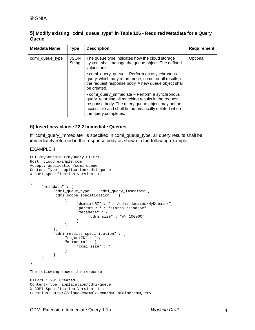#### **5) Modify existing "cdmi\_queue\_type" in Table 126 - Required Metadata for a Query Queue**

| Metadata Name   | Type                  | <b>Description</b>                                                                                                                                                                                                                       | <b>Requirement</b> |
|-----------------|-----------------------|------------------------------------------------------------------------------------------------------------------------------------------------------------------------------------------------------------------------------------------|--------------------|
| cdmi_queue_type | <b>JSON</b><br>String | The queue type indicates how the cloud storage<br>system shall manage the queue object. The defined<br>values are:                                                                                                                       | Optional           |
|                 |                       | • cdmi_query_queue - Perform an asynchronous<br>query, which may return none, some, or all results in<br>the request response body. A new queue object shall<br>be created.                                                              |                    |
|                 |                       | • cdmi_query_immediate - Perform a synchronous<br>query, returning all matching results in the request<br>response body. The query queue object may not be<br>accessible and shall be automatically deleted when<br>the query completes. |                    |

#### **6) Insert new clause 22.2 Immediate Queries**

If "cdmi\_query\_immediate" is specified in cdmi\_queue\_type, all query results shall be immediately returned in the response body as shown in the following example.

#### EXAMPLE 4:

```
PUT /MyContainer/myQuery HTTP/1.1
Host: cloud.example.com
Accept: application/cdmi-queue
Content-Type: application/cdmi-queue
X-CDMI-Specification-Version: 1.1
{
     "metadata" : {
           "cdmi_queue_type" : "cdmi_query_immediate",
           "cdmi_scope_specification" : [
                {
                     "domainURI" : "== /cdmi_domains/MyDomain/",
                     "parentURI" : "starts /sandbox",
                     "metadata" : {
                          "cdmi_size" : "#> 100000"
                     }
                }
           ],
           "cdmi_results_specification" : {
               "objectID" : "",
                "metadata" : {
                     "cdmi_size" : ""
                }
           }
     }
}
The following shows the response.
HTTP/1.1 201 Created
Content-Type: application/cdmi-queue
X-CDMI-Specification-Version: 1.1
Location: http://cloud.example.com/MyContainer/myQuery
```